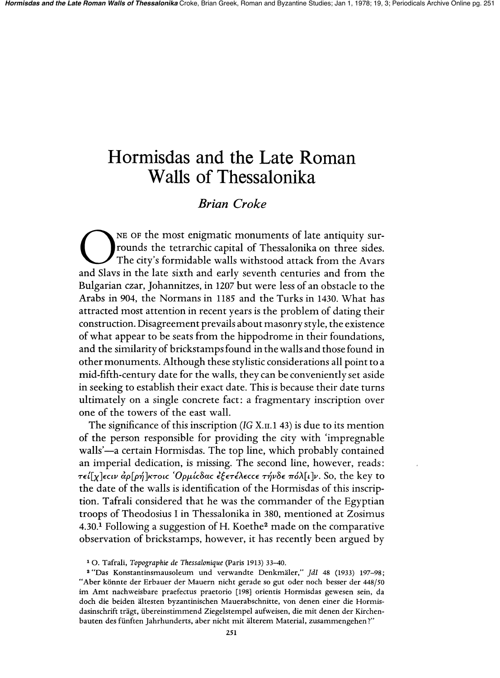# **Hormisdas and the Late Roman Walls of Thessalonika**

# *Brian Croke*

The of the most enigmatic monuments of late antiquity sur-<br>
The city's formidable walls withstood attack from the Avars rounds the tetrarchic capital of Thessalonika on three sides. The city's formidable walls withstood attack from the Avars and Slavs in the late sixth and early seventh centuries and from the Bulgarian czar, Johannitzes, in 1207 but were less of an obstacle to the Arabs in 904, the Normans in 1185 and the Turks in 1430. What has attracted most attention in recent years is the problem of dating their construction. Disagreement prevails about masonry style, the existence of what appear to be seats from the hippodrome in their foundations, and the similarity of briekstamps found in the walls and those found in other monuments. Although these sty listie considerations all point to a mid-fifth-century date for the walls, they can be conveniently set aside in seeking to establish their exact date. This is because their date turns ultimately on a single concrete fact: a fragmentary inscription over one of the towers of the east wall.

The significance of this inscription *(IG X.II.1 43)* is due to its mention of the person responsible for providing the city with 'impregnable walls'—a certain Hormisdas. The top line, which probably contained an imperial dedication, is missing. The second line, however, reads:  $\tau \epsilon \int \chi$ ]εςιν αρ[ρή]κτοις 'Ορμίςδας εξετέλεςς τήνδε πόλ[ι]ν. So, the key to the date of the walls is identification of the Hormisdas of this inscription. Tafrali considered that he was the commander of the Egyptian troops of Theodosius I in Thessalonika in 380, mentioned at Zosimus 4.30.<sup>1</sup> Following a suggestion of H. Koethe<sup>2</sup> made on the comparative observation of brickstamps, however, it has recently been argued by

10. Tafrali, *Topographie de Thessalonique* (Paris 1913) 33-40.

<sup>2</sup>"Das Konstantinsmausoleum und verwandte Denkmaler," *JdI* 48 (1933) 197-98; "Aber könnte der Erbauer der Mauern nicht gerade so gut oder noch besser der 448/50 im Amt nachweisbare praefectus praetorio [198] orientis Hormisdas gewesen sein, da doch die beiden altesten byzantinischen Mauerabschnitte, von denen einer die Hormisdasinschrift tragt, iibereinstimmend Ziegelstempel aufweisen, die mit denen der Kirchenbauten des fiinften Jahrhunderts, aber nicht mit alterem Material, zusammengehen ?"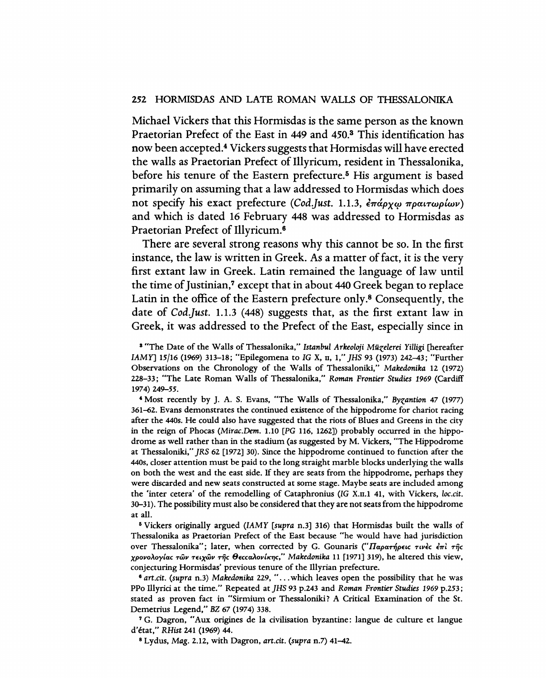## 252 HORMISDAS AND LATE ROMAN WALLS OF THESSALONIKA

Michael Vickers that this Hormisdas is the same person as the known Praetorian Prefect of the East in 449 and 450.3 This identification has now been accepted.4 Vickers suggests that Hormisdas will have erected the walls as Praetorian Prefect of Illyricum, resident in Thessalonika, before his tenure of the Eastern prefecture.<sup>5</sup> His argument is based primarily on assuming that a law addressed to Hormisdas which does not specify his exact prefecture *(Cod.Just. 1.1.3, επάργω πραιτωρίων)* and which is dated 16 February 448 was addressed to Hormisdas as Praetorian Prefect of Illyricum.6

There are several strong reasons why this cannot be so. In the first instance, the law is written in Greek. As a matter of fact, it is the very first extant law in Greek. Latin remained the language of law until the time of Justinian,<sup>7</sup> except that in about 440 Greek began to replace Latin in the office of the Eastern prefecture only.<sup>8</sup> Consequently, the date of *CodJust.* 1.1.3 (448) suggests that, as the first extant law in Greek, it was addressed to the Prefect of the East, especially since in

a "The Date of the Walls of Thessalonika," *Istanbul Arkeoloji Milzelerei Yilligi* [hereafter *IAMY]* 15/16 (1969) 313-18; "Epilegomena to IG X, II, I," *]HS* 93 (1973) 242-43; "Further Observations on the Chronology of the Walls of Thessaloniki," *Makedonika* 12 (1972) 228-33; "The Late Roman Walls of Thessalonika," *Roman Frontier Studies* 1969 (Cardiff 1974) 249-55.

4 Most recently by J. A. S. Evans, "The Walls of Thessalonika," *Byzantion* 47 (1977) 361-62. Evans demonstrates the continued existence of the hippodrome for chariot racing after the 44Os. He could also have suggested that the riots of Blues and Greens in the city in the reign of Phocas *(Mirac.Dem.* 1.10 [PG 116, 1262]) probably occurred in the hippodrome as well rather than in the stadium (as suggested by M. Vickers, "The Hippodrome at Thessaloniki," *]RS* 62 [1972] 30). Since the hippodrome continued to function after the 44Os, closer attention must be paid to the long straight marble blocks underlying the walls on both the west and the east side. If they are seats from the hippodrome, perhaps they were discarded and new seats constructed at some stage. Maybe seats are included among the 'inter cetera' of the remodelling of Cataphronius (IG X.II.l 41, with Vickers, *loe.cit.*  30-31). The possibility must also be considered that they are not seats from the hippodrome at all.

<sup>5</sup> Vickers originally argued *(IAMY [supra n.3]* 316) that Hormisdas built the walls of Thessalonika as Praetorian Prefect of the East because "he would have had jurisdiction over Thessalonika"; later, when corrected by G. Gounaris ("Παρατήρεις τινές έπι της *XpovoAoylac TWV T€LXWV rijc 8€ccaAovlKT/C," Makedonika* 11 [1971] 319), he altered this view, conjecturing Hormisdas' previous tenure of the lllyrian prefecture.

<sup>S</sup>*art.* cit. *(supra* n.3) *Makedonika* 229, " ... which leaves open the possibility that he was PPo lllyrici at the time." Repeated at *]HS* 93 p.243 and *Roman Frontier Studies* 1969 p.253; stated as proven fact in "Sirmium or Thessaloniki? A Critical Examination of the St. Demetrius Legend," BZ 67 (1974) 338.

7 G. Dagron, "Aux origines de la civilisation byzantine: langue de culture et langue d'etat," *RHist* 241 (1969) 44.

8 Lydus, *Mag.* 2.12, with Dagron, *art.cit. (supra* n.7) 41-42.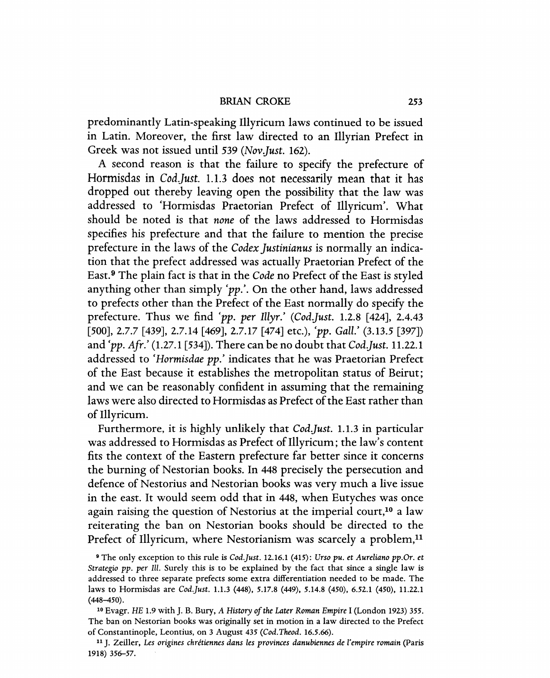predominantly Latin-speaking Illyricum laws continued to be issued in Latin. Moreover, the first law directed to an Illyrian Prefect in Greek was not issued until 539 *(Nov Just.* 162).

A second reason is that the failure to specify the prefecture of Hormisdas in *Cod.Just.* 1.1.3 does not necessarily mean that it has dropped out thereby leaving open the possibility that the law was addressed to 'Hormisdas Praetorian Prefect of Illyricum'. What should be noted is that *none* of the laws addressed to Hormisdas specifies his prefecture and that the failure to mention the precise prefecture in the laws of the *Codex justinianus* is normally an indication that the prefect addressed was actually Praetorian Prefect of the East. 9 The plain fact is that in the *Code* no Prefect of the East is styled anything other than simply 'pp.'. On the other hand, laws addressed to prefects other than the Prefect of the East normally do specify the prefecture. Thus we find *'pp. per* Illyr.' *(Cod Just.* 1.2.8 [424], 2.4.43 [500],2.7.7 [439], 2.7.14 [469], 2.7.17 [474] etc.), *'pp. Gall.'* (3.13.5 [397]) and *'pp. Afr.'* (1.27.1 [534]). There can be no doubt that *Cod Just.* 11.22.1 addressed to *'Hormisdae pp.'* indicates that he was Praetorian Prefect of the East because it establishes the metropolitan status of Beirut; and we can be reasonably confident in assuming that the remaining laws were also directed to Hormisdas as Prefect of the East rather than of Illyricum.

Furthermore, it is highly unlikely that *CodJust.* 1.1.3 in particular was addressed to Hormisdas as Prefect of Illyricum; the law's content fits the context of the Eastern prefecture far better since it concerns the burning of Nestorian books. In 448 precisely the persecution and defence of Nestorius and Nestorian books was very much a live issue in the east. It would seem odd that in 448, when Eutyches was once again raising the question of Nestorius at the imperial court,<sup>10</sup> a law reiterating the ban on Nestorian books should be directed to the Prefect of Illyricum, where Nestorianism was scarcely a problem, $<sup>11</sup>$ </sup>

<sup>9</sup> The only exception to this rule is *Cod.Just.* 12.16.1 (415): *Urso pu. et Aureliano pp.Or. et Strategio pp. per Ill. Surely this is to be explained by the fact that since a single law is* addressed to three separate prefects some extra differentiation needed to be made. The laws to Hormisdas are *Cod.Just.* 1.1.3 (448), 5.17.8 (449), 5.14.8 (450), 6.52.1 (450), 11.22.1 (448-450).

<sup>10</sup> Evagr. HE 1.9 with J. B. Bury, *A History of the Later Roman Empire* I (London 1923) 355. The ban on Nestorian books was originally set in motion in a law directed to the Prefect of Constantinople, Leontius, on 3 August 435 *(Cod. Theod. 16.5.66).* 

<sup>11</sup> J. ZeilIer, *Les origines chretiennes dans les provinces danubiennes de l'empire romain* (Paris 1918) 356-57.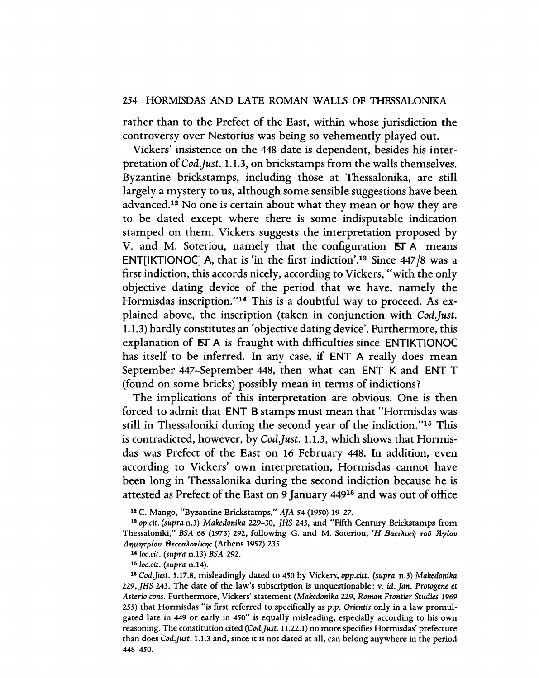rather than to the Prefect of the East, within whose jurisdiction the controversy over Nestorius was being so vehemently played out.

Vickers' insistence on the 448 date is dependent, besides his interpretation of *Cod.Just.* 1.1.3, on brickstamps from the walls themselves. Byzantine brickstamps, including those at Thessalonika, are still largely a mystery to us, although some sensible suggestions have been advanced.12 No one is certain about what they mean or how they are to be dated except where there is some indisputable indication stamped on them. Vickers suggests the interpretation proposed by V. and M. Soteriou, namely that the configuration ET A means ENT[IKTIONOC] A, that is 'in the first indiction'.<sup>13</sup> Since  $447/8$  was a first indiction, this accords nicely, according to Vickers, "with the only objective dating device of the period that we have, namely the Hormisdas inscription."14 This is a doubtful way to proceed. As explained above, the inscription (taken in conjunction with *Cod Just.*  1.1.3) hardly constitutes an 'objective dating device'. Furthermore, this explanation of ET A is fraught with difficulties since ENTIKTIONOC has itself to be inferred. In any case, if ENT A really does mean September 447-September 448, then what can ENT K and ENT T (found on some bricks) possibly mean in terms of indictions?

The implications of this interpretation are obvious. One is then forced to admit that ENT B stamps must mean that "Hormisdas was still in Thessaloniki during the second year of the indiction."16 This is contradicted, however, by *CodJust.* 1.1.3, which shows that Hormisdas was Prefect of the East on 16 February 448. In addition, even according to Vickers' own interpretation, Hormisdas cannot have been long in Thessalonika during the second indiction because he is attested as Prefect of the East on 9 January 44916 and was out of office

12 C. Mango, "Byzantine Brickstamps," *AJA* 54 (1950) 19-27.

<sup>13</sup>*op.cit. (supra* n.3) *Makedonika* 229-30, *JHS* 243, and "Fifth Century Brickstamps from Thessaloniki," BSA 68 (1973) 292, following G. and M. Soteriou, 'Η Βατιλική τοῦ Άγίου *JTJJLTJTplov geccaAovlKTJC* (Athens 1952) 235.

<sup>14</sup>*loc.cit. (supra* n.13) *BSA 292.* 

*151oc.cit. (supra* n.14).

*16 Cod.Just.* 5.17.8, misleadingly dated to 450 by Vickers, *opp.citt. (supra* n.3) *Makedonika 229, JHS* 243. The date of the law's subscription is unquestionable: v. id. *Jan. Protogene* et *Asterio cons.* Furthermore, Vickers' statement *(Makedonika* 229, *Roman Frontier Studies 1969*  255) that Hormisdas "is first referred to specifically as *p.p.* Orientis only in a law promulgated late in 449 or early in 450" is equally misleading, especially according to his own reasoning. The constitution cited *(Cod.Just.* 11.22.1) no more specifies Hormisdas' prefecture than does *Cod.Just.* 1.1.3 and, since it is not dated at all, can belong anywhere in the period 448-450.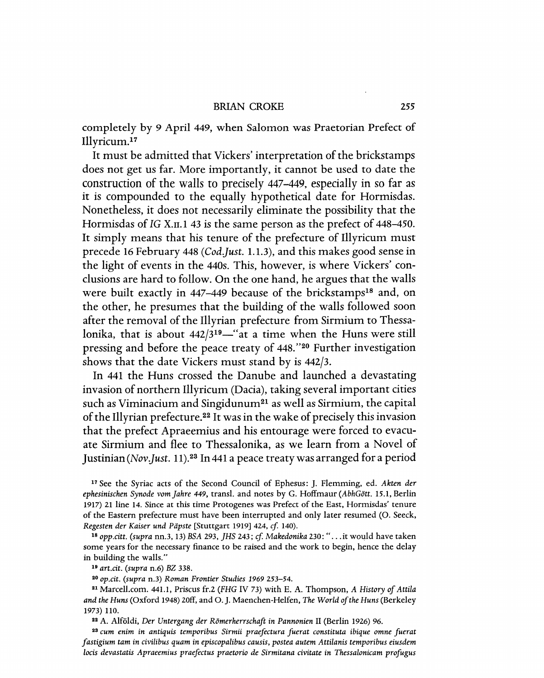#### BRIAN CROKE 255

completely by 9 April 449, when Salomon was Praetorian Prefect of Illyricum.17

It must be admitted that Vickers' interpretation of the brickstamps does not get us far. More importantly, it cannot be used to date the construction of the walls to precisely 447-449, especially in so far as it is compounded to the equally hypothetical date for Hormisdas. Nonetheless, it does not necessarily eliminate the possibility that the Hormisdas of *IG* X.II.I 43 is the same person as the prefect of 448-450. It simply means that his tenure of the prefecture of Illyricum must precede 16 February 448 *(Cod.Just. 1.1.3)*, and this makes good sense in the light of events in the 440s. This, however, is where Vickers' conclusions are hard to follow. On the one hand, he argues that the walls were built exactly in 447–449 because of the brickstamps<sup>18</sup> and, on the other, he presumes that the building of the walls followed soon after the removal of the Illyrian prefecture from Sirmium to Thessalonika, that is about  $442/3^{19}$ —" at a time when the Huns were still pressing and before the peace treaty of 448."20 Further investigation shows that the date Vickers must stand by is 442/3.

In 441 the Huns crossed the Danube and launched a devastating invasion of northern Illyricum (Dacia), taking several important cities such as Viminacium and Singidunum<sup>21</sup> as well as Sirmium, the capital of the Illyrian prefecture.22 It was in the wake of precisely this invasion that the prefect Apraeemius and his entourage were forced to evacuate Sirmium and flee to Thessalonika, as we learn from a Novel of Justinian (Nov.Just. 11).<sup>23</sup> In 441 a peace treaty was arranged for a period

17 See the Syriac acts of the Second Council of Ephesus: J. Flemming, ed. *Akten der ephesinischen Synode yom Jahre* 449, transI. and notes by C. Hoffmaur *(AbhGott.* 15.1, Berlin 1917) 21 line 14. Since at this time Protogenes was Prefect of the East, Hormisdas' tenure of the Eastern prefecture must have been interrupted and only later resumed (0. Seeck, *Regesten der Kaiser und Pdpste* [Stuttgart 1919J 424, *cf* 140).

18 opp.citt. (supra nn.3, 13) *BSA 293, JHS 243; cf. Makedonika 230:* "...it would have taken some years for the necessary finance to be raised and the work to begin, hence the delay in building the walls."

<sup>19</sup>*art. cit. (supra* n.6) *BZ 338.* 

*2° op.cit. (supra* n.3) *Roman Frontier Studies* 1969253-54.

21 Marcell.com. 441.1, Priscus fr.2 *(FHG* IV 73) with E. A. Thompson, *A History of Attila and the Huns* (Oxford 1948) 20ff, and O. J. Maenchen-Helfen, *The World of the Huns* (Berkeley 1973) 110.

<sup>22</sup> A. Alföldi, *Der Untergang der Römerherrschaft in Pannonien II (Berlin 1926) 96.* 

<sup>23</sup>*cum enim in antiquis temporibus Sirmii praefectura fuerat constituta ibique omne fuerat fastigium tam in civilibus quam in episcopalibus causis, postea autem Attilanis temporibus eiusdem locis devastatis Apraeemius praefectus praetorio de Sirmitana civitate in Thessalonicam profugus*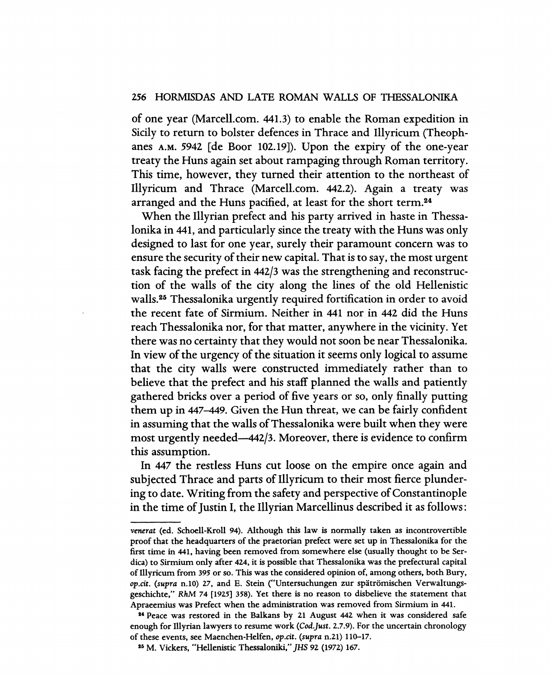## 256 HORMISDAS AND LATE ROMAN WALLS OF THESSALONIKA

of one year (MarcelL com. 441.3) to enable the Roman expedition in Sicily to return to bolster defences in Thrace and Illyricum (Theophanes A.M. 5942 [de Boor 102.19]). Upon the expiry of the one-year treaty the Huns again set about rampaging through Roman territory. This time, however, they turned their attention to the northeast of Illyricum and Thrace (Marcell.com. 442.2). Again a treaty was arranged and the Huns pacified, at least for the short term.24

When the Illyrian prefect and his party arrived in haste in Thessalonika in 441, and particularly since the treaty with the Huns was only designed to last for one year, surely their paramount concern was to ensure the security of their new capital. That is to say, the most urgent task facing the prefect in 442/3 was the strengthening and reconstruction of the walls of the city along the lines of the old Hellenistic walls.25 Thessalonika urgently required fortification in order to avoid the recent fate of Sirmium. Neither in 441 nor in 442 did the Huns reach Thessalonika nor, for that matter, anywhere in the vicinity. Yet there was no certainty that they would not soon be near Thessalonika. In view of the urgency of the situation it seems only logical to assume that the city walls were constructed immediately rather than to believe that the prefect and his staff planned the walls and patiently gathered bricks over a period of five years or so, only finally putting them up in 447-449. Given the Hun threat, we can be fairly confident in assuming that the walls of Thessalonika were built when they were most urgently needed--442/3. Moreover, there is evidence to confirm this assumption.

In 447 the restless Huns cut loose on the empire once again and subjected Thrace and parts of Illyricum to their most fierce plundering to date. Writing from the safety and perspective of Constantinople in the time of Justin I, the I1lyrian Marcellinus described it as follows:

*venerat* (ed. Schoell-Kroll 94). Although this law is normally taken as incontrovertible proof that the headquarters of the praetorian prefect were set up in Thessalonika for the first time in 441, having been removed from somewhere else (usually thought to be Serdica) to Sirmium only after 42.4, it is possible that Thessalonika was the prefectural capital of Illyricum from 395 or so. This was the considered opinion of, among others, both Bury, op.cit. (supra n.10) 27, and E. Stein ("Untersuchungen zur spätrömischen Verwaltungsgeschichte," *RhM* 74 [1925] 358). Yet there is no reason to disbelieve the statement that Apraeemius was Prefect when the administration was removed from Sirmium in 441.

<sup>&</sup>lt;sup>24</sup> Peace was restored in the Balkans by 21 August 442 when it was considered safe enough for Illyrian lawyers to resume work *(Cod.Just.* 2..7.9). For the uncertain chronology of these events, see Maenchen-Helfen, *op.cit. (supra* n.21) 110-17.

<sup>15</sup> M. Vickers, "Hellenistic Thessaloniki," *JHS* 92 (1972) 167.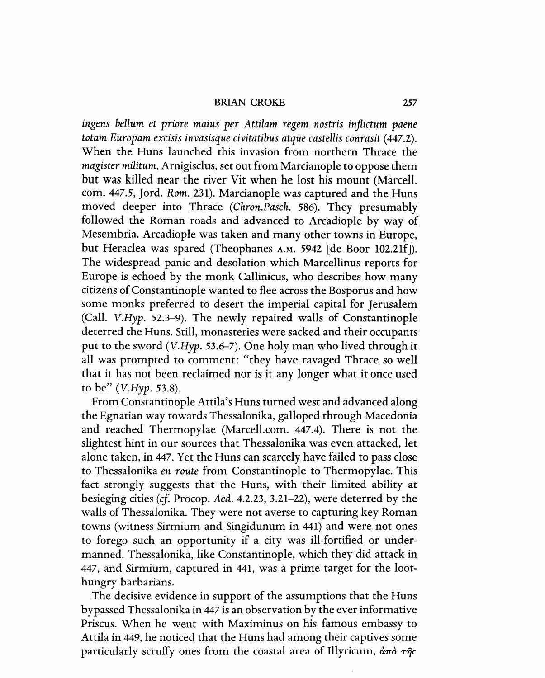BRIAN CROKE 257

*ingens bellum et priore maius per Attilam regem nostris inflietum paene totam Europam exeisis invasisque eivitatibus atque eastellis eonrasit* (447.2). When the Huns launched this invasion from northern Thrace the *magister militum,* Arnigisclus, set out from Marcianople to oppose them but was killed near the river Vit when he lost his mount (Marcell. com. 447.5, Jord. *Rom.* 231). Marcianople was captured and the Huns moved deeper into Thrace *(Chron.Paseh.* 586). They presumably followed the Roman roads and advanced to Arcadiople by way of Mesembria. Arcadiople was taken and many other towns in Europe, but Heraclea was spared (Theophanes A.M. 5942 [de Boor 102.21f]). The widespread panic and desolation which Marcellinus reports for Europe is echoed by the monk Callinicus, who describes how many citizens of Constantinople wanted to flee across the Bosporus and how some monks preferred to desert the imperial capital for Jerusalem (Call. V.Hyp. 52.3-9). The newly repaired walls of Constantinople deterred the Huns. Still, monasteries were sacked and their occupants put to the sword (V.Hyp. 53.6-7). One holy man who lived through it all was prompted to comment: "they have ravaged Thrace so well that it has not been reclaimed nor is it any longer what it once used to be" (*V.Hyp.* 53.8).

From Constantinople Attila's Huns turned west and advanced along the Egnatian way towards Thessalonika, galloped through Macedonia and reached Thermopylae (Marcell.com. 447.4). There is not the slightest hint in our sources that Thessalonika was even attacked, let alone taken, in 447. Yet the Huns can scarcely have failed to pass close to Thessalonika *en route* from Constantinople to Thermopylae. This fact strongly suggests that the Huns, with their limited ability at besieging cities (cf. Procop. Aed. 4.2.23, 3.21-22), were deterred by the walls of Thessalonika. They were not averse to capturing key Roman towns (witness Sirmium and Singidunum in 441) and were not ones to forego such an opportunity if a city was ill-fortified or undermanned. Thessalonika, like Constantinople, which they did ,attack in 447, and Sirmium, captured in 441, was a prime target for the loothungry barbarians.

The decisive evidence in support of the assumptions that the Huns bypassed Thessalonika in 447 is an observation by the ever informative Priscus. When he went with Maximinus on his famous embassy to Attila in 449, he noticed that the Huns had among their captives some particularly scruffy ones from the coastal area of Illyricum, άπὸ της